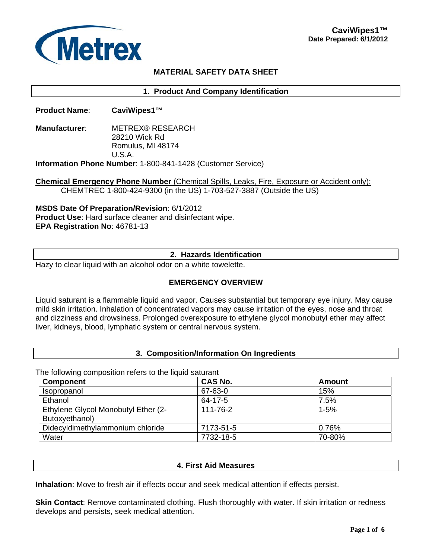

# **MATERIAL SAFETY DATA SHEET**

**1. Product And Company Identification** 

**Product Name**: **CaviWipes1™** 

**Manufacturer**: METREX® RESEARCH 28210 Wick Rd Romulus, MI 48174 U.S.A. **Information Phone Number**: 1-800-841-1428 (Customer Service)

**Chemical Emergency Phone Number** (Chemical Spills, Leaks, Fire, Exposure or Accident only): CHEMTREC 1-800-424-9300 (in the US) 1-703-527-3887 (Outside the US)

**MSDS Date Of Preparation/Revision**: 6/1/2012 **Product Use**: Hard surface cleaner and disinfectant wipe. **EPA Registration No**: 46781-13

## **2. Hazards Identification**

Hazy to clear liquid with an alcohol odor on a white towelette.

## **EMERGENCY OVERVIEW**

Liquid saturant is a flammable liquid and vapor. Causes substantial but temporary eye injury. May cause mild skin irritation. Inhalation of concentrated vapors may cause irritation of the eyes, nose and throat and dizziness and drowsiness. Prolonged overexposure to ethylene glycol monobutyl ether may affect liver, kidneys, blood, lymphatic system or central nervous system.

### **3. Composition/Information On Ingredients**

The following composition refers to the liquid saturant

| <b>Component</b>                    | <b>CAS No.</b> | Amount   |
|-------------------------------------|----------------|----------|
| Isopropanol                         | 67-63-0        | 15%      |
| Ethanol                             | $64 - 17 - 5$  | 7.5%     |
| Ethylene Glycol Monobutyl Ether (2- | 111-76-2       | $1 - 5%$ |
| Butoxyethanol)                      |                |          |
| Didecyldimethylammonium chloride    | 7173-51-5      | 0.76%    |
| Water                               | 7732-18-5      | 70-80%   |

#### **4. First Aid Measures**

**Inhalation**: Move to fresh air if effects occur and seek medical attention if effects persist.

**Skin Contact:** Remove contaminated clothing. Flush thoroughly with water. If skin irritation or redness develops and persists, seek medical attention.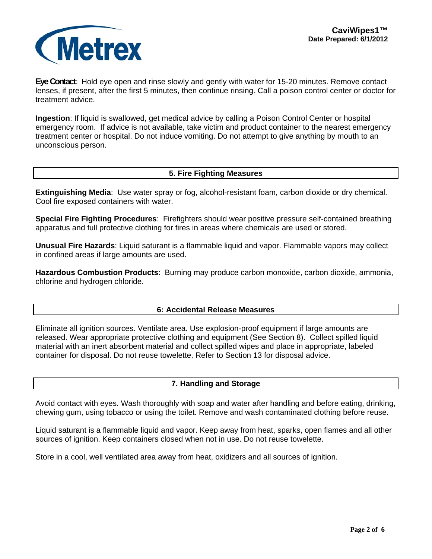

**Eye Contact**: Hold eye open and rinse slowly and gently with water for 15-20 minutes. Remove contact lenses, if present, after the first 5 minutes, then continue rinsing. Call a poison control center or doctor for treatment advice.

**Ingestion**: If liquid is swallowed, get medical advice by calling a Poison Control Center or hospital emergency room. If advice is not available, take victim and product container to the nearest emergency treatment center or hospital. Do not induce vomiting. Do not attempt to give anything by mouth to an unconscious person.

## **5. Fire Fighting Measures**

**Extinguishing Media**: Use water spray or fog, alcohol-resistant foam, carbon dioxide or dry chemical. Cool fire exposed containers with water.

**Special Fire Fighting Procedures**: Firefighters should wear positive pressure self-contained breathing apparatus and full protective clothing for fires in areas where chemicals are used or stored.

**Unusual Fire Hazards**: Liquid saturant is a flammable liquid and vapor. Flammable vapors may collect in confined areas if large amounts are used.

**Hazardous Combustion Products**: Burning may produce carbon monoxide, carbon dioxide, ammonia, chlorine and hydrogen chloride.

### **6: Accidental Release Measures**

Eliminate all ignition sources. Ventilate area. Use explosion-proof equipment if large amounts are released. Wear appropriate protective clothing and equipment (See Section 8). Collect spilled liquid material with an inert absorbent material and collect spilled wipes and place in appropriate, labeled container for disposal. Do not reuse towelette. Refer to Section 13 for disposal advice.

### **7. Handling and Storage**

Avoid contact with eyes. Wash thoroughly with soap and water after handling and before eating, drinking, chewing gum, using tobacco or using the toilet. Remove and wash contaminated clothing before reuse.

Liquid saturant is a flammable liquid and vapor. Keep away from heat, sparks, open flames and all other sources of ignition. Keep containers closed when not in use. Do not reuse towelette.

Store in a cool, well ventilated area away from heat, oxidizers and all sources of ignition.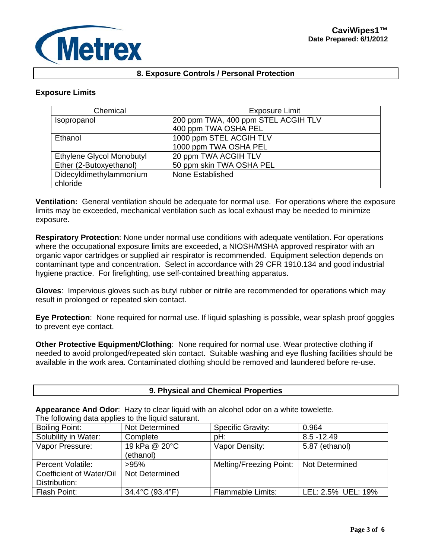## **8. Exposure Controls / Personal Protection**

## **Exposure Limits**

| Chemical                  | <b>Exposure Limit</b>               |  |
|---------------------------|-------------------------------------|--|
| Isopropanol               | 200 ppm TWA, 400 ppm STEL ACGIH TLV |  |
|                           | 400 ppm TWA OSHA PEL                |  |
| Ethanol                   | 1000 ppm STEL ACGIH TLV             |  |
|                           | 1000 ppm TWA OSHA PEL               |  |
| Ethylene Glycol Monobutyl | 20 ppm TWA ACGIH TLV                |  |
| Ether (2-Butoxyethanol)   | 50 ppm skin TWA OSHA PEL            |  |
| Didecyldimethylammonium   | None Established                    |  |
| chloride                  |                                     |  |

**Ventilation:** General ventilation should be adequate for normal use. For operations where the exposure limits may be exceeded, mechanical ventilation such as local exhaust may be needed to minimize exposure.

**Respiratory Protection**: None under normal use conditions with adequate ventilation. For operations where the occupational exposure limits are exceeded, a NIOSH/MSHA approved respirator with an organic vapor cartridges or supplied air respirator is recommended. Equipment selection depends on contaminant type and concentration. Select in accordance with 29 CFR 1910.134 and good industrial hygiene practice. For firefighting, use self-contained breathing apparatus.

**Gloves**: Impervious gloves such as butyl rubber or nitrile are recommended for operations which may result in prolonged or repeated skin contact.

**Eye Protection**: None required for normal use. If liquid splashing is possible, wear splash proof goggles to prevent eye contact.

**Other Protective Equipment/Clothing**: None required for normal use. Wear protective clothing if needed to avoid prolonged/repeated skin contact. Suitable washing and eye flushing facilities should be available in the work area. Contaminated clothing should be removed and laundered before re-use.

### **9. Physical and Chemical Properties**

**Appearance And Odor**: Hazy to clear liquid with an alcohol odor on a white towelette. The following data applies to the liquid saturant.

| <b>Boiling Point:</b>    | Not Determined  | <b>Specific Gravity:</b> | 0.964              |
|--------------------------|-----------------|--------------------------|--------------------|
| Solubility in Water:     | Complete        | pH:                      | $8.5 - 12.49$      |
| Vapor Pressure:          | 19 kPa @ 20°C   | Vapor Density:           | 5.87 (ethanol)     |
|                          | (ethanol)       |                          |                    |
| <b>Percent Volatile:</b> | >95%            | Melting/Freezing Point:  | Not Determined     |
| Coefficient of Water/Oil | Not Determined  |                          |                    |
| Distribution:            |                 |                          |                    |
| Flash Point:             | 34.4°C (93.4°F) | <b>Flammable Limits:</b> | LEL: 2.5% UEL: 19% |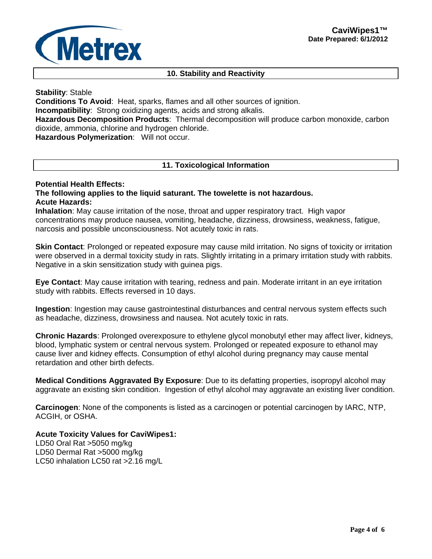# **10. Stability and Reactivity**

## **Stability**: Stable

**Conditions To Avoid**: Heat, sparks, flames and all other sources of ignition. **Incompatibility**: Strong oxidizing agents, acids and strong alkalis. **Hazardous Decomposition Products**: Thermal decomposition will produce carbon monoxide, carbon dioxide, ammonia, chlorine and hydrogen chloride. **Hazardous Polymerization**: Will not occur.

## **11. Toxicological Information**

## **Potential Health Effects: The following applies to the liquid saturant. The towelette is not hazardous. Acute Hazards:**

**Inhalation**: May cause irritation of the nose, throat and upper respiratory tract. High vapor concentrations may produce nausea, vomiting, headache, dizziness, drowsiness, weakness, fatigue, narcosis and possible unconsciousness. Not acutely toxic in rats.

**Skin Contact:** Prolonged or repeated exposure may cause mild irritation. No signs of toxicity or irritation were observed in a dermal toxicity study in rats. Slightly irritating in a primary irritation study with rabbits. Negative in a skin sensitization study with guinea pigs.

**Eye Contact**: May cause irritation with tearing, redness and pain. Moderate irritant in an eye irritation study with rabbits. Effects reversed in 10 days.

**Ingestion**: Ingestion may cause gastrointestinal disturbances and central nervous system effects such as headache, dizziness, drowsiness and nausea. Not acutely toxic in rats.

**Chronic Hazards**: Prolonged overexposure to ethylene glycol monobutyl ether may affect liver, kidneys, blood, lymphatic system or central nervous system. Prolonged or repeated exposure to ethanol may cause liver and kidney effects. Consumption of ethyl alcohol during pregnancy may cause mental retardation and other birth defects.

**Medical Conditions Aggravated By Exposure**: Due to its defatting properties, isopropyl alcohol may aggravate an existing skin condition. Ingestion of ethyl alcohol may aggravate an existing liver condition.

**Carcinogen**: None of the components is listed as a carcinogen or potential carcinogen by IARC, NTP, ACGIH, or OSHA.

# **Acute Toxicity Values for CaviWipes1:**

LD50 Oral Rat >5050 mg/kg LD50 Dermal Rat >5000 mg/kg LC50 inhalation LC50 rat >2.16 mg/L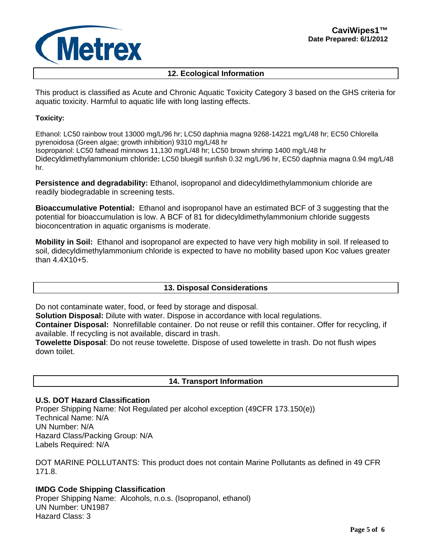

# **12. Ecological Information**

This product is classified as Acute and Chronic Aquatic Toxicity Category 3 based on the GHS criteria for aquatic toxicity. Harmful to aquatic life with long lasting effects.

#### **Toxicity:**

Ethanol: LC50 rainbow trout 13000 mg/L/96 hr; LC50 daphnia magna 9268-14221 mg/L/48 hr; EC50 Chlorella pyrenoidosa (Green algae; growth inhibition) 9310 mg/L/48 hr Isopropanol: LC50 fathead minnows 11,130 mg/L/48 hr; LC50 brown shrimp 1400 mg/L/48 hr Didecyldimethylammonium chloride**:** LC50 bluegill sunfish 0.32 mg/L/96 hr, EC50 daphnia magna 0.94 mg/L/48 hr.

**Persistence and degradability:** Ethanol, isopropanol and didecyldimethylammonium chloride are readily biodegradable in screening tests.

**Bioaccumulative Potential:** Ethanol and isopropanol have an estimated BCF of 3 suggesting that the potential for bioaccumulation is low. A BCF of 81 for didecyldimethylammonium chloride suggests bioconcentration in aquatic organisms is moderate.

**Mobility in Soil:** Ethanol and isopropanol are expected to have very high mobility in soil. If released to soil, didecyldimethylammonium chloride is expected to have no mobility based upon Koc values greater than 4.4X10+5.

### **13. Disposal Considerations**

Do not contaminate water, food, or feed by storage and disposal.

**Solution Disposal:** Dilute with water. Dispose in accordance with local regulations.

**Container Disposal:** Nonrefillable container. Do not reuse or refill this container. Offer for recycling, if available. If recycling is not available, discard in trash.

**Towelette Disposal**: Do not reuse towelette. Dispose of used towelette in trash. Do not flush wipes down toilet.

### **14. Transport Information**

## **U.S. DOT Hazard Classification**

Proper Shipping Name: Not Regulated per alcohol exception (49CFR 173.150(e)) Technical Name: N/A UN Number: N/A Hazard Class/Packing Group: N/A Labels Required: N/A

DOT MARINE POLLUTANTS: This product does not contain Marine Pollutants as defined in 49 CFR 171.8.

# **IMDG Code Shipping Classification**

Proper Shipping Name: Alcohols, n.o.s. (Isopropanol, ethanol) UN Number: UN1987 Hazard Class: 3